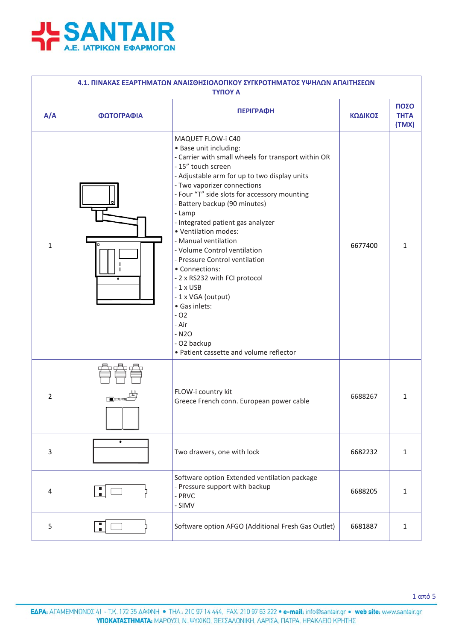

| 4.1. ΠΙΝΑΚΑΣ ΕΞΑΡΤΗΜΑΤΩΝ ΑΝΑΙΣΘΗΣΙΟΛΟΓΙΚΟΥ ΣΥΓΚΡΟΤΗΜΑΤΟΣ ΥΨΗΛΩΝ ΑΠΑΙΤΗΣΕΩΝ<br><b>TYΠOY A</b> |            |                                                                                                                                                                                                                                                                                                                                                                                                                                                                                                                                                                                                                                                         |         |                              |  |
|----------------------------------------------------------------------------------------------|------------|---------------------------------------------------------------------------------------------------------------------------------------------------------------------------------------------------------------------------------------------------------------------------------------------------------------------------------------------------------------------------------------------------------------------------------------------------------------------------------------------------------------------------------------------------------------------------------------------------------------------------------------------------------|---------|------------------------------|--|
| A/A                                                                                          | ΦΩΤΟΓΡΑΦΙΑ | <b>ПЕРІГРАФН</b>                                                                                                                                                                                                                                                                                                                                                                                                                                                                                                                                                                                                                                        | ΚΩΔΙΚΟΣ | ΠΟΣΟ<br><b>THTA</b><br>(TMX) |  |
| $\mathbf{1}$                                                                                 | $\bullet$  | MAQUET FLOW-i C40<br>· Base unit including:<br>- Carrier with small wheels for transport within OR<br>- 15" touch screen<br>- Adjustable arm for up to two display units<br>- Two vaporizer connections<br>- Four "T" side slots for accessory mounting<br>- Battery backup (90 minutes)<br>- Lamp<br>- Integrated patient gas analyzer<br>· Ventilation modes:<br>- Manual ventilation<br>- Volume Control ventilation<br>- Pressure Control ventilation<br>• Connections:<br>- 2 x RS232 with FCI protocol<br>$-1$ x USB<br>- 1 x VGA (output)<br>· Gas inlets:<br>$-02$<br>- Air<br>$-N2O$<br>- O2 backup<br>· Patient cassette and volume reflector | 6677400 | 1                            |  |
| 2                                                                                            |            | FLOW-i country kit<br>Greece French conn. European power cable                                                                                                                                                                                                                                                                                                                                                                                                                                                                                                                                                                                          | 6688267 | 1                            |  |
| 3                                                                                            |            | Two drawers, one with lock                                                                                                                                                                                                                                                                                                                                                                                                                                                                                                                                                                                                                              | 6682232 | $\mathbf{1}$                 |  |
| 4                                                                                            |            | Software option Extended ventilation package<br>- Pressure support with backup<br>- PRVC<br>- SIMV                                                                                                                                                                                                                                                                                                                                                                                                                                                                                                                                                      | 6688205 | $\mathbf{1}$                 |  |
| 5                                                                                            |            | Software option AFGO (Additional Fresh Gas Outlet)                                                                                                                                                                                                                                                                                                                                                                                                                                                                                                                                                                                                      | 6681887 | $\mathbf{1}$                 |  |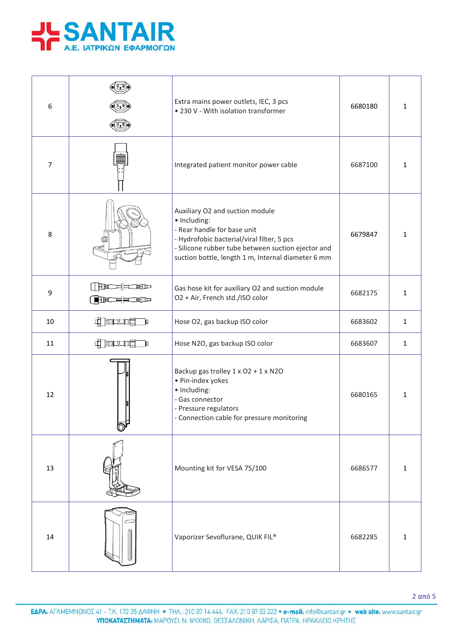

| 6              |                                 | Extra mains power outlets, IEC, 3 pcs<br>• 230 V - With isolation transformer                                                                                                                                                            | 6680180 | 1            |
|----------------|---------------------------------|------------------------------------------------------------------------------------------------------------------------------------------------------------------------------------------------------------------------------------------|---------|--------------|
| $\overline{7}$ |                                 | Integrated patient monitor power cable                                                                                                                                                                                                   | 6687100 | $\mathbf{1}$ |
| 8              |                                 | Auxiliary O2 and suction module<br>· Including:<br>- Rear handle for base unit<br>- Hydrofobic bacterial/viral filter, 5 pcs<br>- Silicone rubber tube between suction ejector and<br>suction bottle, length 1 m, Internal diameter 6 mm | 6679847 | $\mathbf{1}$ |
| 9              | $\Box$<br>( <b>BBIC)==CBB</b> I | Gas hose kit for auxiliary O2 and suction module<br>O2 + Air, French std./ISO color                                                                                                                                                      | 6682175 | $\mathbf{1}$ |
| 10             | 中国中国<br>$\mathbf{p}$            | Hose O2, gas backup ISO color                                                                                                                                                                                                            | 6683602 | 1            |
| 11             | <b>Charles</b><br>$\mathbf{p}$  | Hose N2O, gas backup ISO color                                                                                                                                                                                                           | 6683607 | $\mathbf{1}$ |
| 12             |                                 | Backup gas trolley 1 x O2 + 1 x N2O<br>· Pin-index yokes<br>· Including:<br>- Gas connector<br>- Pressure regulators<br>- Connection cable for pressure monitoring                                                                       | 6680165 | 1            |
| 13             |                                 | Mounting kit for VESA 75/100                                                                                                                                                                                                             | 6686577 | 1            |
| 14             |                                 | Vaporizer Sevoflurane, QUIK FIL®                                                                                                                                                                                                         | 6682285 | 1            |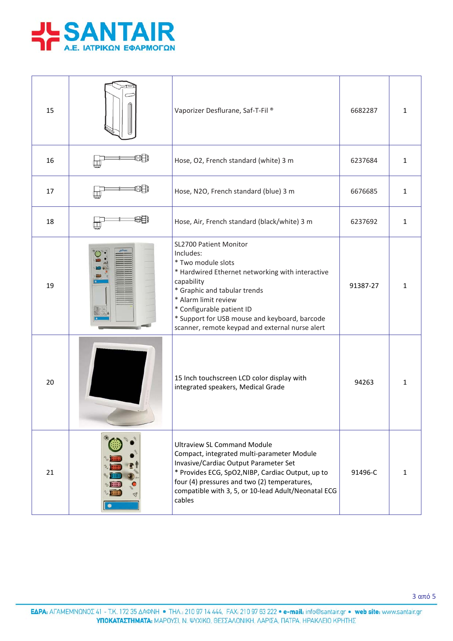

| 15 | Vaporizer Desflurane, Saf-T-Fil <sup>®</sup>                                                                                                                                                                                                                                                                         | 6682287  | $\mathbf{1}$ |
|----|----------------------------------------------------------------------------------------------------------------------------------------------------------------------------------------------------------------------------------------------------------------------------------------------------------------------|----------|--------------|
| 16 | Hose, O2, French standard (white) 3 m                                                                                                                                                                                                                                                                                | 6237684  | $\mathbf{1}$ |
| 17 | Hose, N2O, French standard (blue) 3 m                                                                                                                                                                                                                                                                                | 6676685  | $\mathbf{1}$ |
| 18 | Hose, Air, French standard (black/white) 3 m                                                                                                                                                                                                                                                                         | 6237692  | $\mathbf{1}$ |
| 19 | SL2700 Patient Monitor<br>Includes:<br>* Two module slots<br>* Hardwired Ethernet networking with interactive<br>capability<br>* Graphic and tabular trends<br>* Alarm limit review<br>* Configurable patient ID<br>* Support for USB mouse and keyboard, barcode<br>scanner, remote keypad and external nurse alert | 91387-27 | $\mathbf{1}$ |
| 20 | 15 Inch touchscreen LCD color display with<br>integrated speakers, Medical Grade                                                                                                                                                                                                                                     | 94263    | $\mathbf{1}$ |
| 21 | <b>Ultraview SL Command Module</b><br>Compact, integrated multi-parameter Module<br>Invasive/Cardiac Output Parameter Set<br>* Provides ECG, SpO2, NIBP, Cardiac Output, up to<br>four (4) pressures and two (2) temperatures,<br>compatible with 3, 5, or 10-lead Adult/Neonatal ECG<br>cables                      | 91496-C  | $\mathbf{1}$ |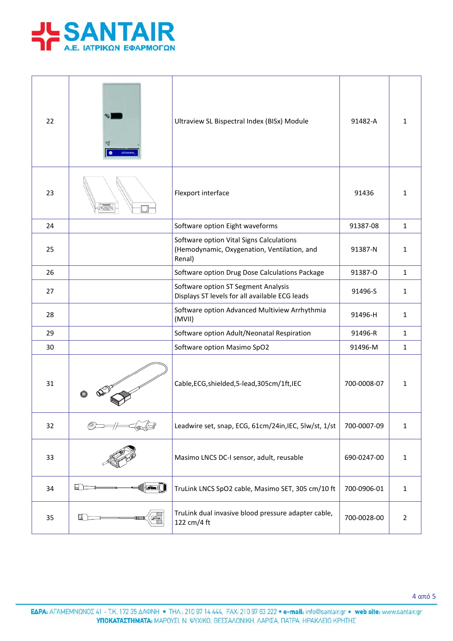

| 22 |           | Ultraview SL Bispectral Index (BISx) Module                                                       | 91482-A     | 1              |
|----|-----------|---------------------------------------------------------------------------------------------------|-------------|----------------|
| 23 |           | Flexport interface                                                                                | 91436       | 1              |
| 24 |           | Software option Eight waveforms                                                                   | 91387-08    | $\mathbf{1}$   |
| 25 |           | Software option Vital Signs Calculations<br>(Hemodynamic, Oxygenation, Ventilation, and<br>Renal) | 91387-N     | $\mathbf{1}$   |
| 26 |           | Software option Drug Dose Calculations Package                                                    | 91387-O     | $\mathbf{1}$   |
| 27 |           | Software option ST Segment Analysis<br>Displays ST levels for all available ECG leads             | 91496-S     | $\mathbf{1}$   |
| 28 |           | Software option Advanced Multiview Arrhythmia<br>(MVII)                                           | 91496-H     | $\mathbf{1}$   |
| 29 |           | Software option Adult/Neonatal Respiration                                                        | 91496-R     | $\mathbf{1}$   |
| 30 |           | Software option Masimo SpO2                                                                       | 91496-M     | $\mathbf{1}$   |
| 31 |           | Cable, ECG, shielded, 5-lead, 305cm/1ft, IEC                                                      | 700-0008-07 | $\mathbf{1}$   |
| 32 |           | Leadwire set, snap, ECG, 61cm/24in, IEC, 5lw/st, 1/st                                             | 700-0007-09 | $\mathbf 1$    |
| 33 |           | Masimo LNCS DC-I sensor, adult, reusable                                                          | 690-0247-00 | $\mathbf 1$    |
| 34 | G (I<br>口 | TruLink LNCS SpO2 cable, Masimo SET, 305 cm/10 ft                                                 | 700-0906-01 | $\mathbf{1}$   |
| 35 | 圖画        | TruLink dual invasive blood pressure adapter cable,<br>122 cm/4 ft                                | 700-0028-00 | $\overline{2}$ |